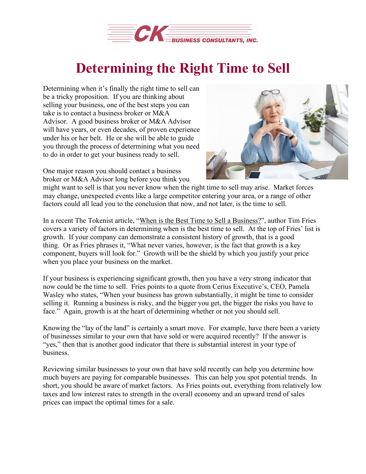

## **Determining the Right Time to Sell**

Determining when it's finally the right time to sell can be a tricky proposition. If you are thinking about selling your business, one of the best steps you can take is to contact a business broker or M&A Advisor. A good business broker or M&A Advisor will have years, or even decades, of proven experience under his or her belt. He or she will be able to guide you through the process of determining what you need to do in order to get your business ready to sell.



One major reason you should contact a business broker or M&A Advisor long before you think you

might want to sell is that you never know when the right time to sell may arise. Market forces may change, unexpected events like a large competitor entering your area, or a range of other factors could all lead you to the conclusion that now, and not later, is the time to sell.

In a recent The Tokenist article, "When is the Best Time to Sell a [Business?"](https://thetokenist.io/when-to-sell-your-business/), author Tim Fries covers a variety of factors in determining when is the best time to sell. At the top of Fries' list is growth. If your company can demonstrate a consistent history of growth, that is a good thing. Or as Fries phrases it, "What never varies, however, is the fact that growth is a key component, buyers will look for." Growth will be the shield by which you justify your price when you place your business on the market.

If your business is experiencing significant growth, then you have a very strong indicator that now could be the time to sell. Fries points to a quote from Cerius Executive's, CEO, Pamela Wasley who states, "When your business has grown substantially, it might be time to consider selling it. Running a business is risky, and the bigger you get, the bigger the risks you have to face." Again, growth is at the heart of determining whether or not you should sell.

Knowing the "lay of the land" is certainly a smart move. For example, have there been a variety of businesses similar to your own that have sold or were acquired recently? If the answer is "yes," then that is another good indicator that there is substantial interest in your type of business.

Reviewing similar businesses to your own that have sold recently can help you determine how much buyers are paying for comparable businesses. This can help you spot potential trends. In short, you should be aware of market factors. As Fries points out, everything from relatively low taxes and low interest rates to strength in the overall economy and an upward trend of sales prices can impact the optimal times for a sale.